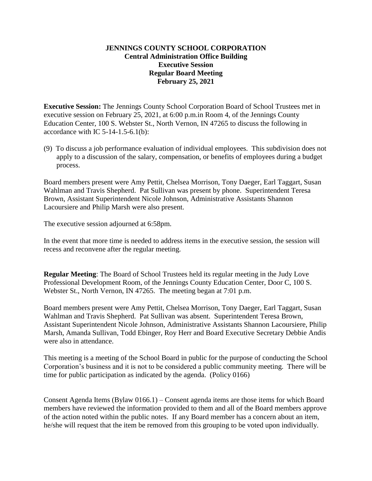### **JENNINGS COUNTY SCHOOL CORPORATION Central Administration Office Building Executive Session Regular Board Meeting February 25, 2021**

**Executive Session:** The Jennings County School Corporation Board of School Trustees met in executive session on February 25, 2021, at 6:00 p.m.in Room 4, of the Jennings County Education Center, 100 S. Webster St., North Vernon, IN 47265 to discuss the following in accordance with IC  $5-14-1.5-6.1(b)$ :

(9) To discuss a job performance evaluation of individual employees. This subdivision does not apply to a discussion of the salary, compensation, or benefits of employees during a budget process.

Board members present were Amy Pettit, Chelsea Morrison, Tony Daeger, Earl Taggart, Susan Wahlman and Travis Shepherd. Pat Sullivan was present by phone. Superintendent Teresa Brown, Assistant Superintendent Nicole Johnson, Administrative Assistants Shannon Lacoursiere and Philip Marsh were also present.

The executive session adjourned at 6:58pm.

In the event that more time is needed to address items in the executive session, the session will recess and reconvene after the regular meeting.

**Regular Meeting**: The Board of School Trustees held its regular meeting in the Judy Love Professional Development Room, of the Jennings County Education Center, Door C, 100 S. Webster St., North Vernon, IN 47265. The meeting began at 7:01 p.m.

Board members present were Amy Pettit, Chelsea Morrison, Tony Daeger, Earl Taggart, Susan Wahlman and Travis Shepherd. Pat Sullivan was absent. Superintendent Teresa Brown, Assistant Superintendent Nicole Johnson, Administrative Assistants Shannon Lacoursiere, Philip Marsh, Amanda Sullivan, Todd Ebinger, Roy Herr and Board Executive Secretary Debbie Andis were also in attendance.

This meeting is a meeting of the School Board in public for the purpose of conducting the School Corporation's business and it is not to be considered a public community meeting. There will be time for public participation as indicated by the agenda. (Policy 0166)

Consent Agenda Items (Bylaw 0166.1) – Consent agenda items are those items for which Board members have reviewed the information provided to them and all of the Board members approve of the action noted within the public notes. If any Board member has a concern about an item, he/she will request that the item be removed from this grouping to be voted upon individually.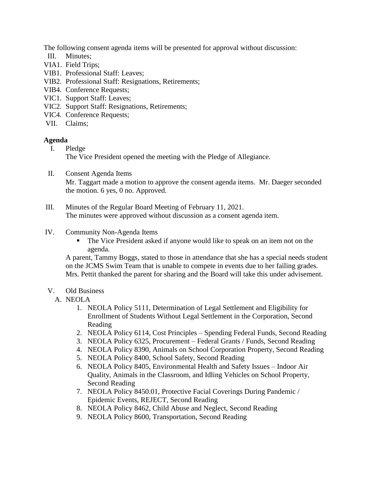The following consent agenda items will be presented for approval without discussion:

- III. Minutes;
- VIA1. Field Trips;
- VIB1. Professional Staff: Leaves;
- VIB2. Professional Staff: Resignations, Retirements;
- VIB4. Conference Requests;
- VIC1. Support Staff: Leaves;
- VIC2. Support Staff: Resignations, Retirements;
- VIC4. Conference Requests;
- VII. Claims;

## **Agenda**

- I. Pledge The Vice President opened the meeting with the Pledge of Allegiance.
- II. Consent Agenda Items Mr. Taggart made a motion to approve the consent agenda items. Mr. Daeger seconded the motion. 6 yes, 0 no. Approved.
- III. Minutes of the Regular Board Meeting of February 11, 2021. The minutes were approved without discussion as a consent agenda item.

## IV. Community Non-Agenda Items

The Vice President asked if anyone would like to speak on an item not on the agenda.

A parent, Tammy Boggs, stated to those in attendance that she has a special needs student on the JCMS Swim Team that is unable to compete in events due to her failing grades. Mrs. Pettit thanked the parent for sharing and the Board will take this under advisement.

# V. Old Business

### A. NEOLA

- 1. NEOLA Policy 5111, Determination of Legal Settlement and Eligibility for Enrollment of Students Without Legal Settlement in the Corporation, Second Reading
- 2. NEOLA Policy 6114, Cost Principles Spending Federal Funds, Second Reading
- 3. NEOLA Policy 6325, Procurement Federal Grants / Funds, Second Reading
- 4. NEOLA Policy 8390, Animals on School Corporation Property, Second Reading
- 5. NEOLA Policy 8400, School Safety, Second Reading
- 6. NEOLA Policy 8405, Environmental Health and Safety Issues Indoor Air Quality, Animals in the Classroom, and Idling Vehicles on School Property, Second Reading
- 7. NEOLA Policy 8450.01, Protective Facial Coverings During Pandemic / Epidemic Events, REJECT, Second Reading
- 8. NEOLA Policy 8462, Child Abuse and Neglect, Second Reading
- 9. NEOLA Policy 8600, Transportation, Second Reading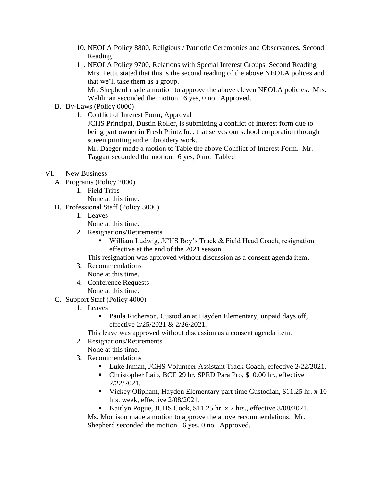- 10. NEOLA Policy 8800, Religious / Patriotic Ceremonies and Observances, Second Reading
- 11. NEOLA Policy 9700, Relations with Special Interest Groups, Second Reading Mrs. Pettit stated that this is the second reading of the above NEOLA polices and that we'll take them as a group.

Mr. Shepherd made a motion to approve the above eleven NEOLA policies. Mrs. Wahlman seconded the motion. 6 yes, 0 no. Approved.

- B. By-Laws (Policy 0000)
	- 1. Conflict of Interest Form, Approval

JCHS Principal, Dustin Roller, is submitting a conflict of interest form due to being part owner in Fresh Printz Inc. that serves our school corporation through screen printing and embroidery work.

Mr. Daeger made a motion to Table the above Conflict of Interest Form. Mr. Taggart seconded the motion. 6 yes, 0 no. Tabled

- VI. New Business
	- A. Programs (Policy 2000)
		- 1. Field Trips
			- None at this time.
	- B. Professional Staff (Policy 3000)
		- 1. Leaves

None at this time.

- 2. Resignations/Retirements
	- William Ludwig, JCHS Boy's Track & Field Head Coach, resignation effective at the end of the 2021 season.

This resignation was approved without discussion as a consent agenda item.

- 3. Recommendations None at this time.
- 4. Conference Requests None at this time.
- C. Support Staff (Policy 4000)
	- 1. Leaves
		- Paula Richerson, Custodian at Hayden Elementary, unpaid days off, effective 2/25/2021 & 2/26/2021.

This leave was approved without discussion as a consent agenda item.

- 2. Resignations/Retirements
- None at this time.
- 3. Recommendations
	- **Luke Inman, JCHS Volunteer Assistant Track Coach, effective 2/22/2021.**
	- Christopher Laib, BCE 29 hr. SPED Para Pro, \$10.00 hr., effective 2/22/2021.
	- Vickey Oliphant, Hayden Elementary part time Custodian, \$11.25 hr. x 10 hrs. week, effective 2/08/2021.
	- Kaitlyn Pogue, JCHS Cook, \$11.25 hr. x 7 hrs., effective  $3/08/2021$ .

Ms. Morrison made a motion to approve the above recommendations. Mr. Shepherd seconded the motion. 6 yes, 0 no. Approved.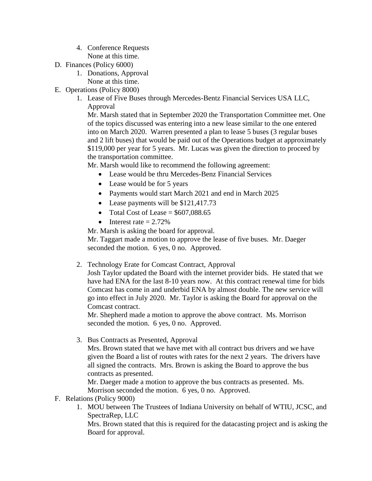- 4. Conference Requests None at this time.
- D. Finances (Policy 6000)
	- 1. Donations, Approval
		- None at this time.
- E. Operations (Policy 8000)
	- 1. Lease of Five Buses through Mercedes-Bentz Financial Services USA LLC, Approval

Mr. Marsh stated that in September 2020 the Transportation Committee met. One of the topics discussed was entering into a new lease similar to the one entered into on March 2020. Warren presented a plan to lease 5 buses (3 regular buses and 2 lift buses) that would be paid out of the Operations budget at approximately \$119,000 per year for 5 years. Mr. Lucas was given the direction to proceed by the transportation committee.

Mr. Marsh would like to recommend the following agreement:

- Lease would be thru Mercedes-Benz Financial Services
- Lease would be for 5 years
- Payments would start March 2021 and end in March 2025
- Lease payments will be \$121,417.73
- Total Cost of Lease  $=$  \$607,088.65
- $\bullet$  Interest rate = 2.72%

Mr. Marsh is asking the board for approval.

Mr. Taggart made a motion to approve the lease of five buses. Mr. Daeger seconded the motion. 6 yes, 0 no. Approved.

2. Technology Erate for Comcast Contract, Approval

Josh Taylor updated the Board with the internet provider bids. He stated that we have had ENA for the last 8-10 years now. At this contract renewal time for bids Comcast has come in and underbid ENA by almost double. The new service will go into effect in July 2020. Mr. Taylor is asking the Board for approval on the Comcast contract.

Mr. Shepherd made a motion to approve the above contract. Ms. Morrison seconded the motion. 6 yes, 0 no. Approved.

3. Bus Contracts as Presented, Approval

Mrs. Brown stated that we have met with all contract bus drivers and we have given the Board a list of routes with rates for the next 2 years. The drivers have all signed the contracts. Mrs. Brown is asking the Board to approve the bus contracts as presented.

Mr. Daeger made a motion to approve the bus contracts as presented. Ms. Morrison seconded the motion. 6 yes, 0 no. Approved.

# F. Relations (Policy 9000)

1. MOU between The Trustees of Indiana University on behalf of WTIU, JCSC, and SpectraRep, LLC

Mrs. Brown stated that this is required for the datacasting project and is asking the Board for approval.